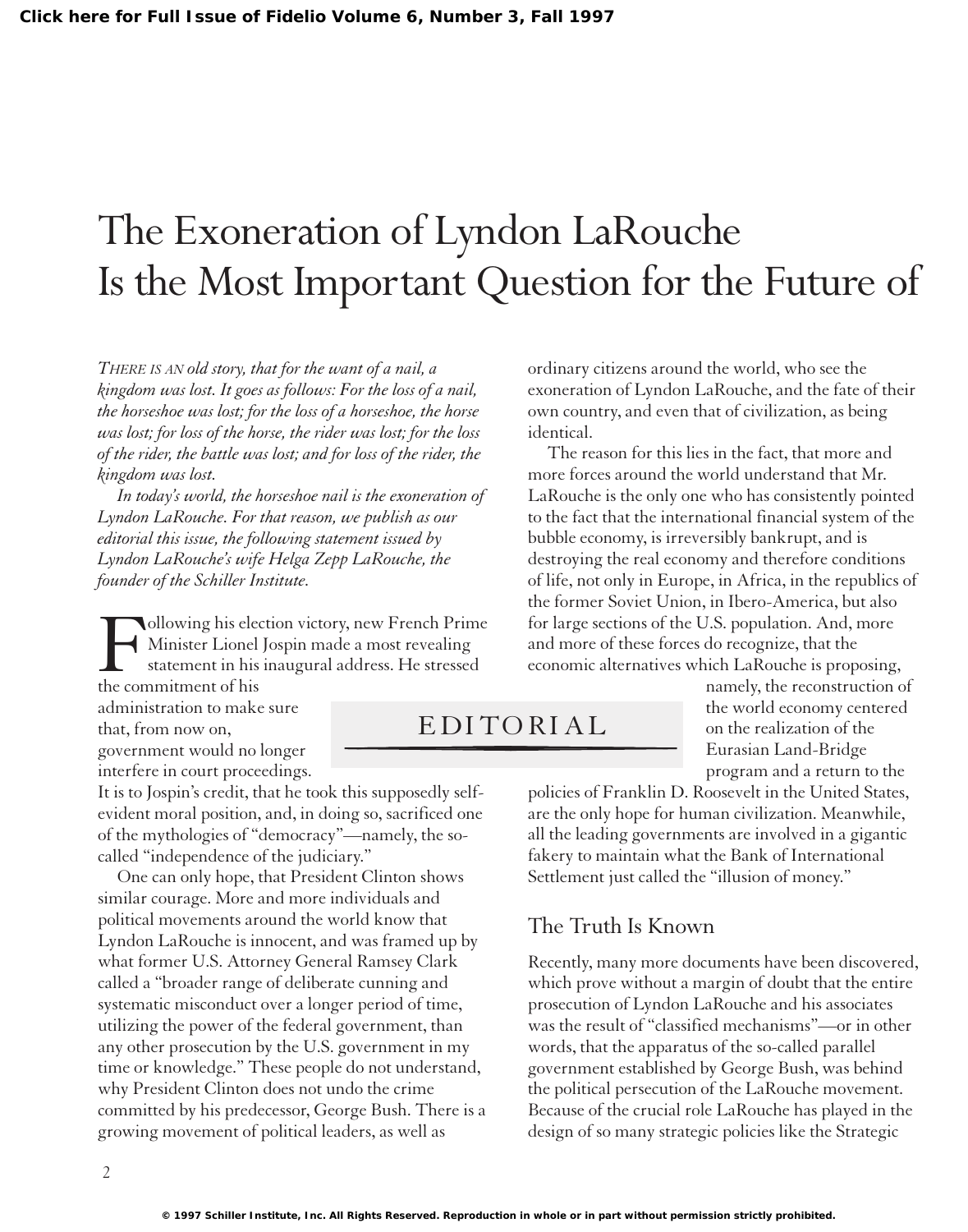## The Exoneration of Lyndon LaRouche Is the Most Important Question for the Future of

*THERE IS AN old story, that for the want of a nail, a kingdom was lost. It goes as follows: For the loss of a nail, the horseshoe was lost; for the loss of a horseshoe, the horse was lost; for loss of the horse, the rider was lost; for the loss of the rider, the battle was lost; and for loss of the rider, the kingdom was lost.*

*In today's world, the horseshoe nail is the exoneration of Lyndon LaRouche. For that reason, we publish as our editorial this issue, the following statement issued by Lyndon LaRouche's wife Helga Zepp LaRouche, the founder of the Schiller Institute.*

Following his election victory, new French Prime Minister Lionel Jospin made a most revealing statement in his inaugural address. He stressed the commitment of his

administration to make sure that, from now on, government would no longer interfere in court proceedings.

It is to Jospin's credit, that he took this supposedly selfevident moral position, and, in doing so, sacrificed one of the mythologies of "democracy"—namely, the socalled "independence of the judiciary."

One can only hope, that President Clinton shows similar courage. More and more individuals and political movements around the world know that Lyndon LaRouche is innocent, and was framed up by what former U.S. Attorney General Ramsey Clark called a "broader range of deliberate cunning and systematic misconduct over a longer period of time, utilizing the power of the federal government, than any other prosecution by the U.S. government in my time or knowledge." These people do not understand, why President Clinton does not undo the crime committed by his predecessor, George Bush. There is a growing movement of political leaders, as well as

ordinary citizens around the world, who see the exoneration of Lyndon LaRouche, and the fate of their own country, and even that of civilization, as being identical.

The reason for this lies in the fact, that more and more forces around the world understand that Mr. LaRouche is the only one who has consistently pointed to the fact that the international financial system of the bubble economy, is irreversibly bankrupt, and is destroying the real economy and therefore conditions of life, not only in Europe, in Africa, in the republics of the former Soviet Union, in Ibero-America, but also for large sections of the U.S. population. And, more and more of these forces do recognize, that the economic alternatives which LaRouche is proposing,

EDITORIAL

namely, the reconstruction of the world economy centered on the realization of the Eurasian Land-Bridge program and a return to the

policies of Franklin D. Roosevelt in the United States, are the only hope for human civilization. Meanwhile, all the leading governments are involved in a gigantic fakery to maintain what the Bank of International Settlement just called the "illusion of money."

## The Truth Is Known

Recently, many more documents have been discovered, which prove without a margin of doubt that the entire prosecution of Lyndon LaRouche and his associates was the result of "classified mechanisms"—or in other words, that the apparatus of the so-called parallel government established by George Bush, was behind the political persecution of the LaRouche movement. Because of the crucial role LaRouche has played in the design of so many strategic policies like the Strategic